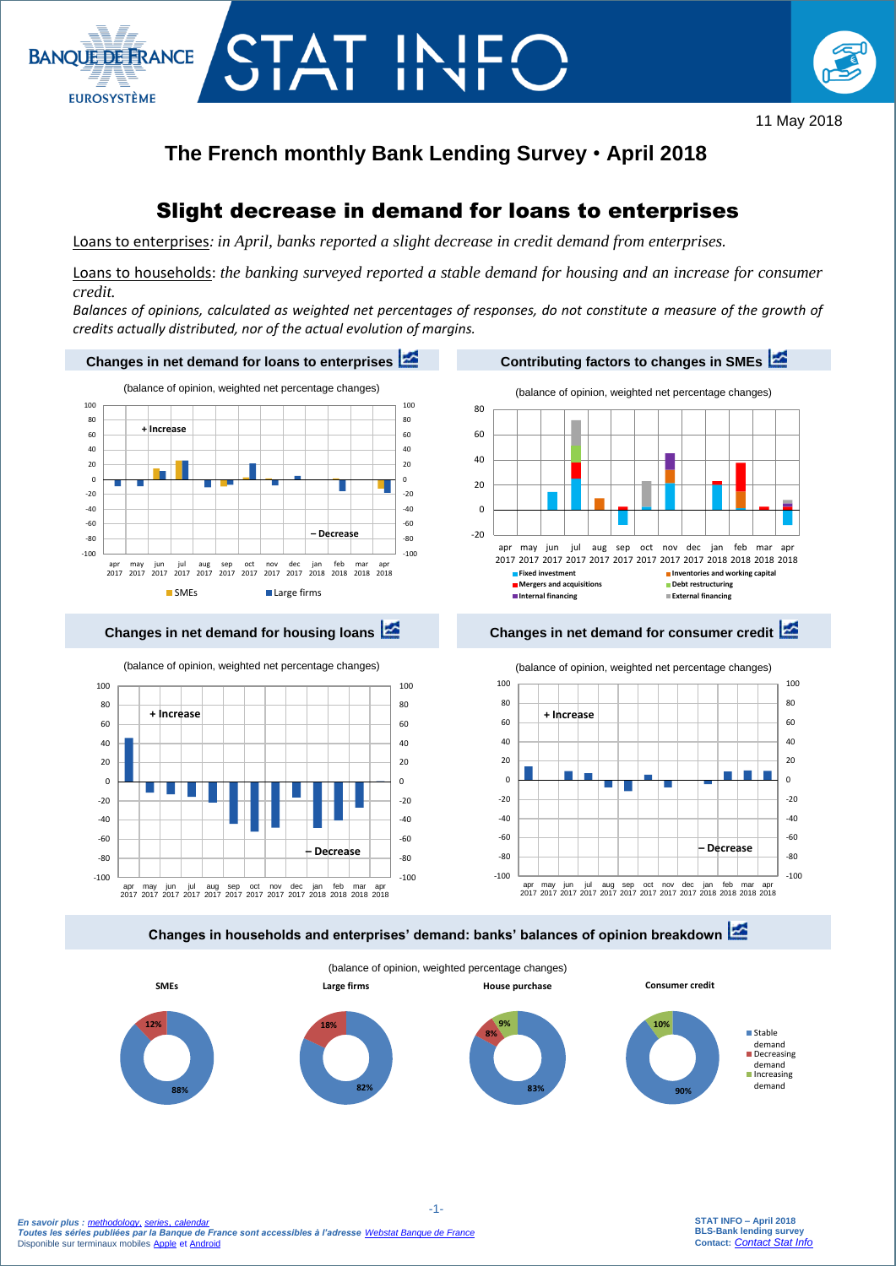

11 May 2018

## **The French monthly Bank Lending Survey** • **April 2018**

## Slight decrease in demand for loans to enterprises

Loans to enterprises*: in April, banks reported a slight decrease in credit demand from enterprises.*

CTAT IN

**BANQUE DE FRANCE** 

**EUROSYSTÈME** 

Loans to households: *the banking surveyed reported a stable demand for housing and an increase for consumer credit.*

*Balances of opinions, calculated as weighted net percentages of responses, do not constitute a measure of the growth of credits actually distributed, nor of the actual evolution of margins.*



 $-100$ -80 -60 -40  $-20$  $-100$ -80 -60 -40  $-20$ **– Decrease**







(balance of opinion, weighted percentage changes) **88% SMEs 12% 82% Large firms 18% 83% 8% House purchase 9% 90% 10% Consumer credit** Stable demand oe…u…<br>Decreasing ■ demand Increasing demand